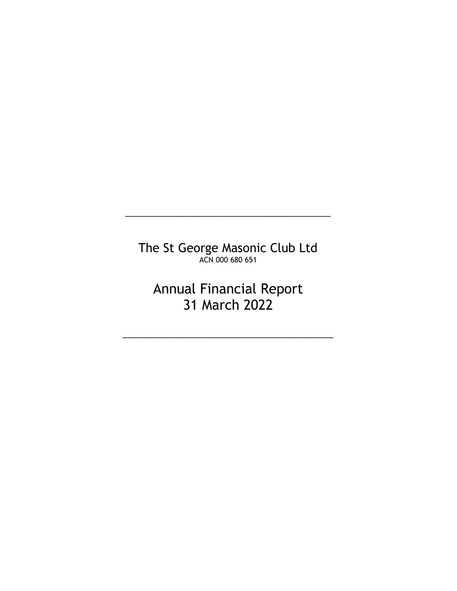The St George Masonic Club Ltd ACN 000 680 651

\_\_\_\_\_\_\_\_\_\_\_\_\_\_\_\_\_\_\_\_\_\_\_\_\_\_\_\_\_\_\_\_\_\_\_\_\_\_\_\_

Annual Financial Report 31 March 2022

\_\_\_\_\_\_\_\_\_\_\_\_\_\_\_\_\_\_\_\_\_\_\_\_\_\_\_\_\_\_\_\_\_\_\_\_\_\_\_\_\_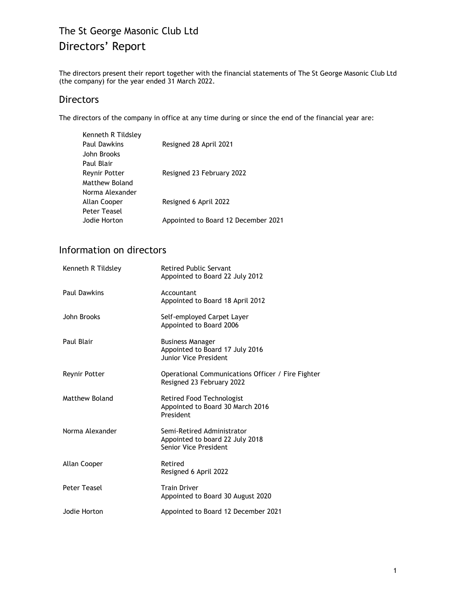# The St George Masonic Club Ltd Directors' Report

The directors present their report together with the financial statements of The St George Masonic Club Ltd (the company) for the year ended 31 March 2022.

# **Directors**

The directors of the company in office at any time during or since the end of the financial year are:

| Kenneth R Tildsley   |                                     |
|----------------------|-------------------------------------|
| <b>Paul Dawkins</b>  | Resigned 28 April 2021              |
| John Brooks          |                                     |
| Paul Blair           |                                     |
| <b>Reynir Potter</b> | Resigned 23 February 2022           |
| Matthew Boland       |                                     |
| Norma Alexander      |                                     |
| Allan Cooper         | Resigned 6 April 2022               |
| Peter Teasel         |                                     |
| Jodie Horton         | Appointed to Board 12 December 2021 |

# Information on directors

| Kenneth R Tildsley  | <b>Retired Public Servant</b><br>Appointed to Board 22 July 2012                       |
|---------------------|----------------------------------------------------------------------------------------|
| <b>Paul Dawkins</b> | Accountant<br>Appointed to Board 18 April 2012                                         |
| John Brooks         | Self-employed Carpet Layer<br>Appointed to Board 2006                                  |
| Paul Blair          | <b>Business Manager</b><br>Appointed to Board 17 July 2016<br>Junior Vice President    |
| Reynir Potter       | Operational Communications Officer / Fire Fighter<br>Resigned 23 February 2022         |
| Matthew Boland      | Retired Food Technologist<br>Appointed to Board 30 March 2016<br>President             |
| Norma Alexander     | Semi-Retired Administrator<br>Appointed to board 22 July 2018<br>Senior Vice President |
| Allan Cooper        | Retired<br>Resigned 6 April 2022                                                       |
| Peter Teasel        | <b>Train Driver</b><br>Appointed to Board 30 August 2020                               |
| Jodie Horton        | Appointed to Board 12 December 2021                                                    |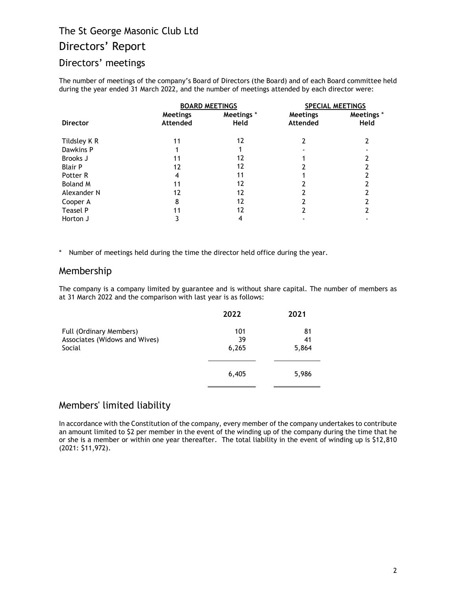# Directors' Report

# Directors' meetings

The number of meetings of the company's Board of Directors (the Board) and of each Board committee held during the year ended 31 March 2022, and the number of meetings attended by each director were:

|                 | <b>BOARD MEETINGS</b>       |                    | <b>SPECIAL MEETINGS</b>     |                           |
|-----------------|-----------------------------|--------------------|-----------------------------|---------------------------|
| <b>Director</b> | <b>Meetings</b><br>Attended | Meetings *<br>Held | <b>Meetings</b><br>Attended | Meetings *<br><b>Held</b> |
| Tildsley K R    | 11                          | 12                 |                             | າ                         |
| Dawkins P       |                             |                    |                             |                           |
| Brooks J        | 11                          | 12                 |                             |                           |
| <b>Blair P</b>  | 12                          | 12                 |                             |                           |
| Potter R        |                             | 11                 |                             |                           |
| <b>Boland M</b> | 11                          | 12                 |                             |                           |
| Alexander N     | 12                          | 12                 |                             |                           |
| Cooper A        | 8                           | 12                 |                             |                           |
| Teasel P        |                             | 12                 |                             |                           |
| Horton J        |                             |                    |                             |                           |

\* Number of meetings held during the time the director held office during the year.

## Membership

The company is a company limited by guarantee and is without share capital. The number of members as at 31 March 2022 and the comparison with last year is as follows:

| 2022  | 2021        |
|-------|-------------|
| 101   | 81          |
|       | 41          |
|       | 5,864       |
| 6,405 | 5,986       |
|       | 39<br>6,265 |

## Members' limited liability

In accordance with the Constitution of the company, every member of the company undertakes to contribute an amount limited to \$2 per member in the event of the winding up of the company during the time that he or she is a member or within one year thereafter. The total liability in the event of winding up is \$12,810 (2021: \$11,972).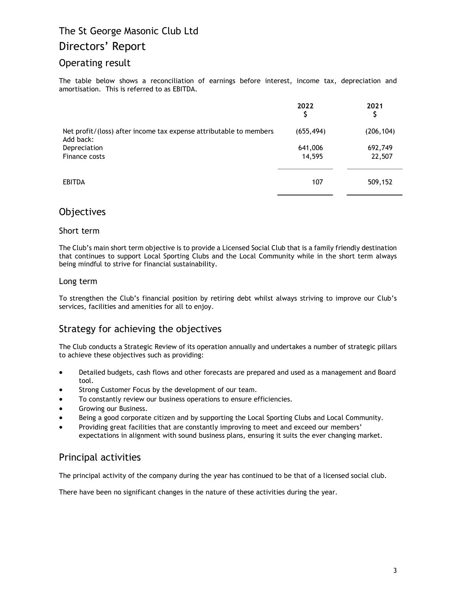## Directors' Report

## Operating result

The table below shows a reconciliation of earnings before interest, income tax, depreciation and amortisation. This is referred to as EBITDA.

|                                                                                 | 2022              | 2021<br>J         |
|---------------------------------------------------------------------------------|-------------------|-------------------|
| Net profit/(loss) after income tax expense attributable to members<br>Add back: | (655, 494)        | (206, 104)        |
| Depreciation<br>Finance costs                                                   | 641,006<br>14,595 | 692,749<br>22,507 |
|                                                                                 |                   |                   |
| <b>EBITDA</b>                                                                   | 107               | 509,152           |

## **Objectives**

### Short term

The Club's main short term objective is to provide a Licensed Social Club that is a family friendly destination that continues to support Local Sporting Clubs and the Local Community while in the short term always being mindful to strive for financial sustainability.

### Long term

To strengthen the Club's financial position by retiring debt whilst always striving to improve our Club's services, facilities and amenities for all to enjoy.

## Strategy for achieving the objectives

The Club conducts a Strategic Review of its operation annually and undertakes a number of strategic pillars to achieve these objectives such as providing:

- Detailed budgets, cash flows and other forecasts are prepared and used as a management and Board tool.
- Strong Customer Focus by the development of our team.
- To constantly review our business operations to ensure efficiencies.
- Growing our Business.
- Being a good corporate citizen and by supporting the Local Sporting Clubs and Local Community.
- Providing great facilities that are constantly improving to meet and exceed our members' expectations in alignment with sound business plans, ensuring it suits the ever changing market.

## Principal activities

The principal activity of the company during the year has continued to be that of a licensed social club.

There have been no significant changes in the nature of these activities during the year.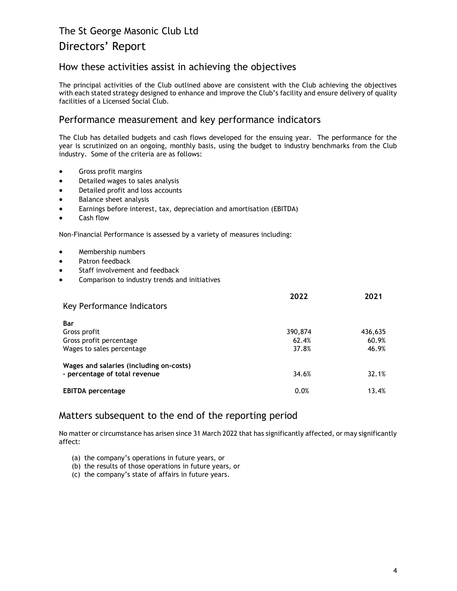# Directors' Report

## How these activities assist in achieving the objectives

The principal activities of the Club outlined above are consistent with the Club achieving the objectives with each stated strategy designed to enhance and improve the Club's facility and ensure delivery of quality facilities of a Licensed Social Club.

## Performance measurement and key performance indicators

The Club has detailed budgets and cash flows developed for the ensuing year. The performance for the year is scrutinized on an ongoing, monthly basis, using the budget to industry benchmarks from the Club industry. Some of the criteria are as follows:

- Gross profit margins
- Detailed wages to sales analysis
- Detailed profit and loss accounts
- Balance sheet analysis
- Earnings before interest, tax, depreciation and amortisation (EBITDA)
- Cash flow

Non-Financial Performance is assessed by a variety of measures including:

- Membership numbers
- Patron feedback
- Staff involvement and feedback
- Comparison to industry trends and initiatives

| Key Performance Indicators              | 2022    | 2021    |
|-----------------------------------------|---------|---------|
| <b>Bar</b>                              |         |         |
| Gross profit                            | 390,874 | 436,635 |
| Gross profit percentage                 | 62.4%   | 60.9%   |
| Wages to sales percentage               | 37.8%   | 46.9%   |
| Wages and salaries (including on-costs) |         |         |
| - percentage of total revenue           | 34.6%   | 32.1%   |
| <b>EBITDA</b> percentage                | 0.0%    | 13.4%   |

## Matters subsequent to the end of the reporting period

No matter or circumstance has arisen since 31 March 2022 that has significantly affected, or may significantly affect:

- (a) the company's operations in future years, or
- (b) the results of those operations in future years, or
- (c) the company's state of affairs in future years.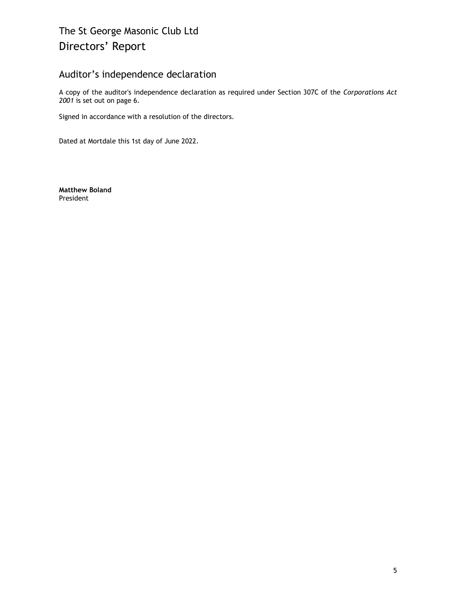# The St George Masonic Club Ltd Directors' Report

## Auditor's independence declaration

A copy of the auditor's independence declaration as required under Section 307C of the Corporations Act 2001 is set out on page 6.

Signed in accordance with a resolution of the directors.

Dated at Mortdale this 1st day of June 2022.

Matthew Boland President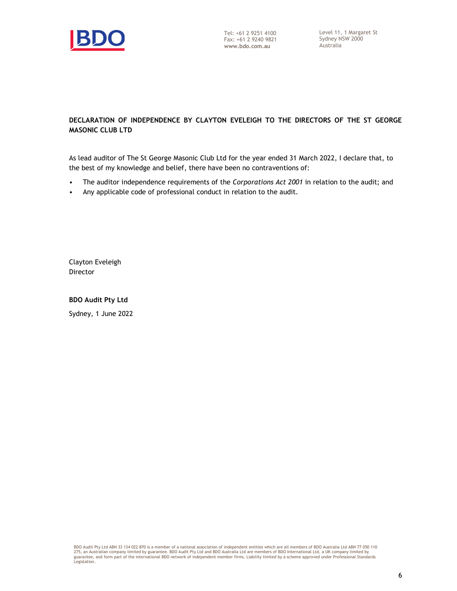

### DECLARATION OF INDEPENDENCE BY CLAYTON EVELEIGH TO THE DIRECTORS OF THE ST GEORGE MASONIC CLUB LTD

As lead auditor of The St George Masonic Club Ltd for the year ended 31 March 2022, I declare that, to the best of my knowledge and belief, there have been no contraventions of:

- The auditor independence requirements of the Corporations Act 2001 in relation to the audit; and
- Any applicable code of professional conduct in relation to the audit.

Clayton Eveleigh Director

BDO Audit Pty Ltd

Sydney, 1 June 2022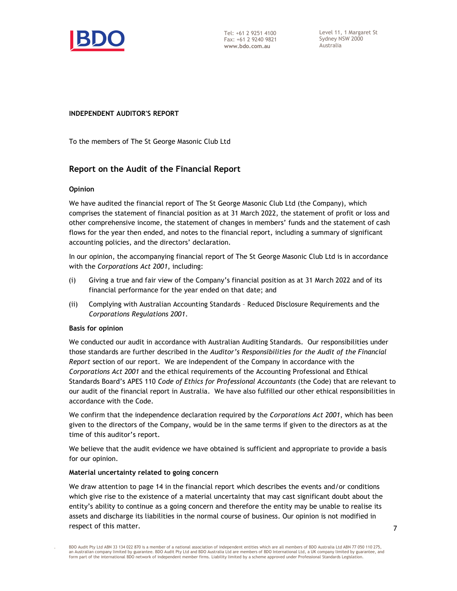

Tel: +61 2 9251 4100 Fax: +61 2 9240 9821 www.bdo.com.au

Level 11, 1 Margaret St Sydney NSW 2000 Australia

#### INDEPENDENT AUDITOR'S REPORT

To the members of The St George Masonic Club Ltd

## Report on the Audit of the Financial Report

#### Opinion

We have audited the financial report of The St George Masonic Club Ltd (the Company), which comprises the statement of financial position as at 31 March 2022, the statement of profit or loss and other comprehensive income, the statement of changes in members' funds and the statement of cash flows for the year then ended, and notes to the financial report, including a summary of significant accounting policies, and the directors' declaration.

In our opinion, the accompanying financial report of The St George Masonic Club Ltd is in accordance with the Corporations Act 2001, including:

- (i) Giving a true and fair view of the Company's financial position as at 31 March 2022 and of its financial performance for the year ended on that date; and
- (ii) Complying with Australian Accounting Standards Reduced Disclosure Requirements and the Corporations Regulations 2001.

#### Basis for opinion

.

We conducted our audit in accordance with Australian Auditing Standards. Our responsibilities under those standards are further described in the Auditor's Responsibilities for the Audit of the Financial Report section of our report. We are independent of the Company in accordance with the Corporations Act 2001 and the ethical requirements of the Accounting Professional and Ethical Standards Board's APES 110 Code of Ethics for Professional Accountants (the Code) that are relevant to our audit of the financial report in Australia. We have also fulfilled our other ethical responsibilities in accordance with the Code.

We confirm that the independence declaration required by the Corporations Act 2001, which has been given to the directors of the Company, would be in the same terms if given to the directors as at the time of this auditor's report.

We believe that the audit evidence we have obtained is sufficient and appropriate to provide a basis for our opinion.

#### Material uncertainty related to going concern

We draw attention to page 14 in the financial report which describes the events and/or conditions which give rise to the existence of a material uncertainty that may cast significant doubt about the entity's ability to continue as a going concern and therefore the entity may be unable to realise its assets and discharge its liabilities in the normal course of business. Our opinion is not modified in respect of this matter.

BDO Audit Pty Ltd ABN 33 134 022 870 is a member of a national association of independent entities which are all members of BDO Australia Ltd ABN 77 050 110 275, an Australian company limited by guarantee. BDO Audit Pty Ltd and BDO Australia Ltd are members of BDO International Ltd, a UK company limited by guarantee, and form part of the international BDO network of independent member firms. Liability limited by a scheme approved under Professional Standards Legislation.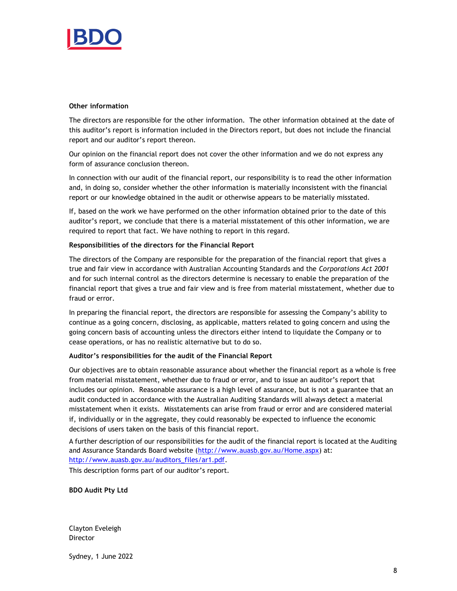

#### Other information

The directors are responsible for the other information. The other information obtained at the date of this auditor's report is information included in the Directors report, but does not include the financial report and our auditor's report thereon.

Our opinion on the financial report does not cover the other information and we do not express any form of assurance conclusion thereon.

In connection with our audit of the financial report, our responsibility is to read the other information and, in doing so, consider whether the other information is materially inconsistent with the financial report or our knowledge obtained in the audit or otherwise appears to be materially misstated.

If, based on the work we have performed on the other information obtained prior to the date of this auditor's report, we conclude that there is a material misstatement of this other information, we are required to report that fact. We have nothing to report in this regard.

#### Responsibilities of the directors for the Financial Report

The directors of the Company are responsible for the preparation of the financial report that gives a true and fair view in accordance with Australian Accounting Standards and the Corporations Act 2001 and for such internal control as the directors determine is necessary to enable the preparation of the financial report that gives a true and fair view and is free from material misstatement, whether due to fraud or error.

In preparing the financial report, the directors are responsible for assessing the Company's ability to continue as a going concern, disclosing, as applicable, matters related to going concern and using the going concern basis of accounting unless the directors either intend to liquidate the Company or to cease operations, or has no realistic alternative but to do so.

#### Auditor's responsibilities for the audit of the Financial Report

Our objectives are to obtain reasonable assurance about whether the financial report as a whole is free from material misstatement, whether due to fraud or error, and to issue an auditor's report that includes our opinion. Reasonable assurance is a high level of assurance, but is not a guarantee that an audit conducted in accordance with the Australian Auditing Standards will always detect a material misstatement when it exists. Misstatements can arise from fraud or error and are considered material if, individually or in the aggregate, they could reasonably be expected to influence the economic decisions of users taken on the basis of this financial report.

A further description of our responsibilities for the audit of the financial report is located at the Auditing and Assurance Standards Board website (http://www.auasb.gov.au/Home.aspx) at: http://www.auasb.gov.au/auditors\_files/ar1.pdf.

This description forms part of our auditor's report.

BDO Audit Pty Ltd

Clayton Eveleigh **Director** 

Sydney, 1 June 2022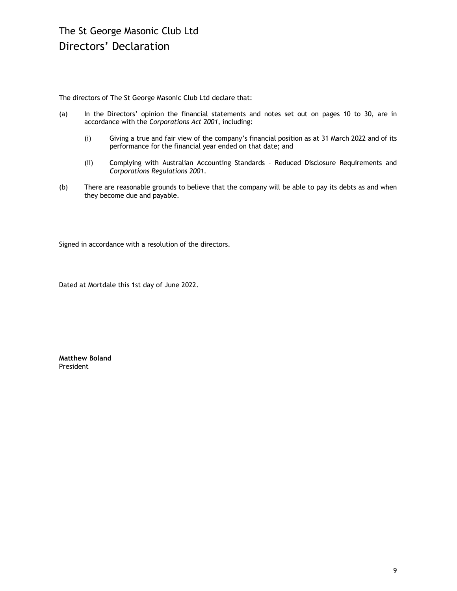The directors of The St George Masonic Club Ltd declare that:

- (a) In the Directors' opinion the financial statements and notes set out on pages 10 to 30, are in accordance with the Corporations Act 2001, including:
	- (i) Giving a true and fair view of the company's financial position as at 31 March 2022 and of its performance for the financial year ended on that date; and
	- (ii) Complying with Australian Accounting Standards Reduced Disclosure Requirements and Corporations Regulations 2001.
- (b) There are reasonable grounds to believe that the company will be able to pay its debts as and when they become due and payable.

Signed in accordance with a resolution of the directors.

Dated at Mortdale this 1st day of June 2022.

Matthew Boland President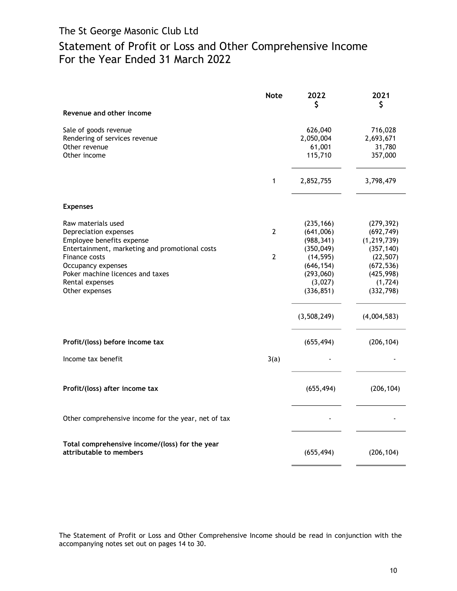# Statement of Profit or Loss and Other Comprehensive Income For the Year Ended 31 March 2022

|                                                                                                                           | <b>Note</b>  | 2022<br>\$                                         | 2021<br>\$                                         |
|---------------------------------------------------------------------------------------------------------------------------|--------------|----------------------------------------------------|----------------------------------------------------|
| Revenue and other income                                                                                                  |              |                                                    |                                                    |
| Sale of goods revenue<br>Rendering of services revenue<br>Other revenue<br>Other income                                   |              | 626,040<br>2,050,004<br>61,001<br>115,710          | 716,028<br>2,693,671<br>31,780<br>357,000          |
|                                                                                                                           | 1            | 2,852,755                                          | 3,798,479                                          |
| <b>Expenses</b>                                                                                                           |              |                                                    |                                                    |
| Raw materials used<br>Depreciation expenses<br>Employee benefits expense                                                  | 2            | (235, 166)<br>(641,006)<br>(988, 341)              | (279, 392)<br>(692, 749)<br>(1, 219, 739)          |
| Entertainment, marketing and promotional costs<br>Finance costs<br>Occupancy expenses<br>Poker machine licences and taxes | $\mathbf{2}$ | (350, 049)<br>(14, 595)<br>(646, 154)<br>(293,060) | (357, 140)<br>(22, 507)<br>(672, 536)<br>(425,998) |
| Rental expenses<br>Other expenses                                                                                         |              | (3,027)<br>(336, 851)                              | (1, 724)<br>(332, 798)                             |
|                                                                                                                           |              | (3,508,249)                                        | (4,004,583)                                        |
| Profit/(loss) before income tax                                                                                           |              | (655, 494)                                         | (206, 104)                                         |
| Income tax benefit                                                                                                        | 3(a)         |                                                    |                                                    |
| Profit/(loss) after income tax                                                                                            |              | (655, 494)                                         | (206, 104)                                         |
| Other comprehensive income for the year, net of tax                                                                       |              |                                                    |                                                    |
| Total comprehensive income/(loss) for the year<br>attributable to members                                                 |              | (655, 494)                                         | (206, 104)                                         |

The Statement of Profit or Loss and Other Comprehensive Income should be read in conjunction with the accompanying notes set out on pages 14 to 30.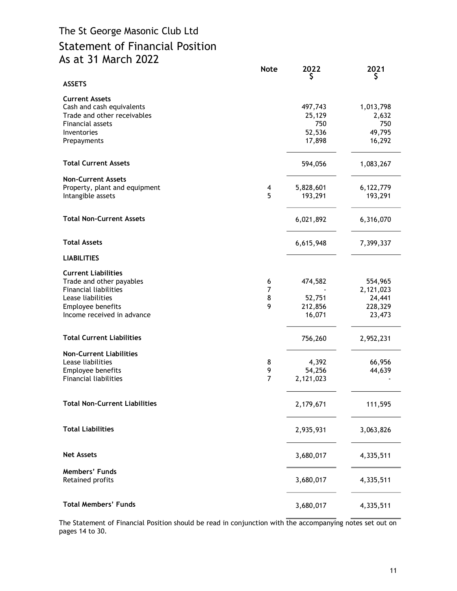# The St George Masonic Club Ltd Statement of Financial Position As at 31 March 2022

|                                                                                                                                                                | <b>Note</b>              | 2022<br>S                                    | 2021<br>Ş                                           |
|----------------------------------------------------------------------------------------------------------------------------------------------------------------|--------------------------|----------------------------------------------|-----------------------------------------------------|
| <b>ASSETS</b>                                                                                                                                                  |                          |                                              |                                                     |
| <b>Current Assets</b><br>Cash and cash equivalents<br>Trade and other receivables<br>Financial assets<br>Inventories<br>Prepayments                            |                          | 497,743<br>25,129<br>750<br>52,536<br>17,898 | 1,013,798<br>2,632<br>750<br>49,795<br>16,292       |
| <b>Total Current Assets</b>                                                                                                                                    |                          | 594,056                                      | 1,083,267                                           |
| <b>Non-Current Assets</b><br>Property, plant and equipment<br>Intangible assets                                                                                | 4<br>5                   | 5,828,601<br>193,291                         | 6,122,779<br>193,291                                |
| <b>Total Non-Current Assets</b>                                                                                                                                |                          | 6,021,892                                    | 6,316,070                                           |
| <b>Total Assets</b>                                                                                                                                            |                          | 6,615,948                                    | 7,399,337                                           |
| <b>LIABILITIES</b>                                                                                                                                             |                          |                                              |                                                     |
| <b>Current Liabilities</b><br>Trade and other payables<br><b>Financial liabilities</b><br>Lease liabilities<br>Employee benefits<br>Income received in advance | 6<br>7<br>8<br>9         | 474,582<br>52,751<br>212,856<br>16,071       | 554,965<br>2,121,023<br>24,441<br>228,329<br>23,473 |
| <b>Total Current Liabilities</b>                                                                                                                               |                          | 756,260                                      | 2,952,231                                           |
| <b>Non-Current Liabilities</b><br>Lease liabilities<br>Employee benefits<br><b>Financial liabilities</b>                                                       | 8<br>9<br>$\overline{7}$ | 4,392<br>54,256<br>2,121,023                 | 66,956<br>44,639                                    |
| <b>Total Non-Current Liabilities</b>                                                                                                                           |                          | 2,179,671                                    | 111,595                                             |
| <b>Total Liabilities</b>                                                                                                                                       |                          | 2,935,931                                    | 3,063,826                                           |
| <b>Net Assets</b>                                                                                                                                              |                          | 3,680,017                                    | 4,335,511                                           |
| Members' Funds<br>Retained profits                                                                                                                             |                          | 3,680,017                                    | 4,335,511                                           |
| <b>Total Members' Funds</b>                                                                                                                                    |                          | 3,680,017                                    | 4,335,511                                           |

The Statement of Financial Position should be read in conjunction with  $\frac{1}{\text{the accompanying nodes set out on}}$ pages 14 to 30.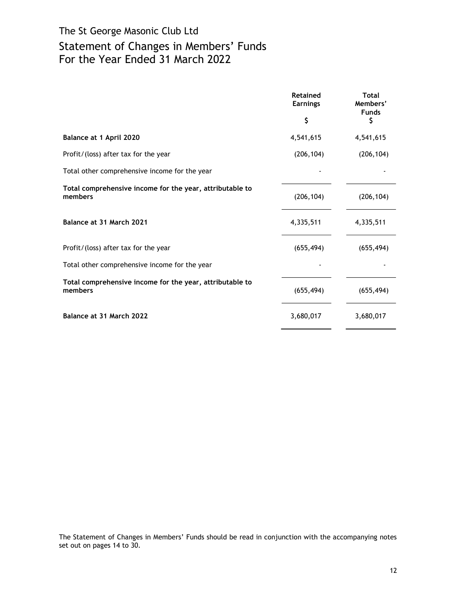# The St George Masonic Club Ltd Statement of Changes in Members' Funds For the Year Ended 31 March 2022

|                                                                     | <b>Retained</b><br><b>Earnings</b> | <b>Total</b><br>Members'<br><b>Funds</b> |
|---------------------------------------------------------------------|------------------------------------|------------------------------------------|
|                                                                     | \$                                 | \$                                       |
| Balance at 1 April 2020                                             | 4,541,615                          | 4,541,615                                |
| Profit/(loss) after tax for the year                                | (206, 104)                         | (206, 104)                               |
| Total other comprehensive income for the year                       |                                    |                                          |
| Total comprehensive income for the year, attributable to<br>members | (206, 104)                         | (206, 104)                               |
| Balance at 31 March 2021                                            | 4,335,511                          | 4,335,511                                |
| Profit/(loss) after tax for the year                                | (655, 494)                         | (655, 494)                               |
| Total other comprehensive income for the year                       |                                    |                                          |
| Total comprehensive income for the year, attributable to<br>members | (655, 494)                         | (655, 494)                               |
| Balance at 31 March 2022                                            | 3,680,017                          | 3,680,017                                |

The Statement of Changes in Members' Funds should be read in conjunction with the accompanying notes set out on pages 14 to 30.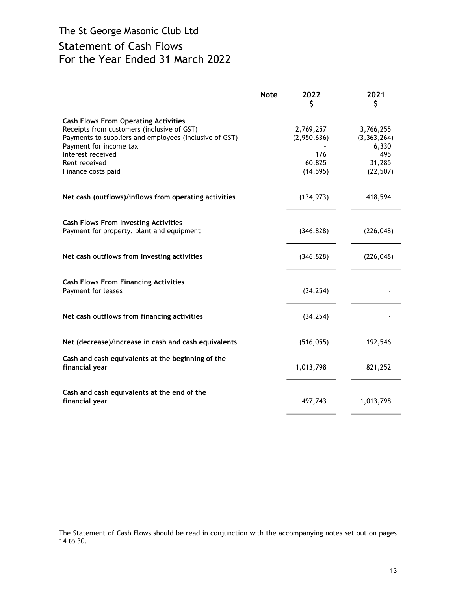# The St George Masonic Club Ltd Statement of Cash Flows For the Year Ended 31 March 2022

|                                                                                                                                                                                                                                           | <b>Note</b> | 2022<br>S                                              | 2021<br>\$                                                        |
|-------------------------------------------------------------------------------------------------------------------------------------------------------------------------------------------------------------------------------------------|-------------|--------------------------------------------------------|-------------------------------------------------------------------|
| <b>Cash Flows From Operating Activities</b><br>Receipts from customers (inclusive of GST)<br>Payments to suppliers and employees (inclusive of GST)<br>Payment for income tax<br>Interest received<br>Rent received<br>Finance costs paid |             | 2,769,257<br>(2,950,636)<br>176<br>60,825<br>(14, 595) | 3,766,255<br>(3, 363, 264)<br>6,330<br>495<br>31,285<br>(22, 507) |
| Net cash (outflows)/inflows from operating activities                                                                                                                                                                                     |             | (134, 973)                                             | 418,594                                                           |
| <b>Cash Flows From Investing Activities</b><br>Payment for property, plant and equipment                                                                                                                                                  |             | (346, 828)                                             | (226, 048)                                                        |
| Net cash outflows from investing activities                                                                                                                                                                                               |             | (346, 828)                                             | (226, 048)                                                        |
| <b>Cash Flows From Financing Activities</b><br>Payment for leases                                                                                                                                                                         |             | (34, 254)                                              |                                                                   |
| Net cash outflows from financing activities                                                                                                                                                                                               |             | (34, 254)                                              |                                                                   |
| Net (decrease)/increase in cash and cash equivalents                                                                                                                                                                                      |             | (516, 055)                                             | 192,546                                                           |
| Cash and cash equivalents at the beginning of the<br>financial year                                                                                                                                                                       |             | 1,013,798                                              | 821,252                                                           |
| Cash and cash equivalents at the end of the<br>financial year                                                                                                                                                                             |             | 497,743                                                | 1,013,798                                                         |

The Statement of Cash Flows should be read in conjunction with the accompanying notes set out on pages 14 to 30.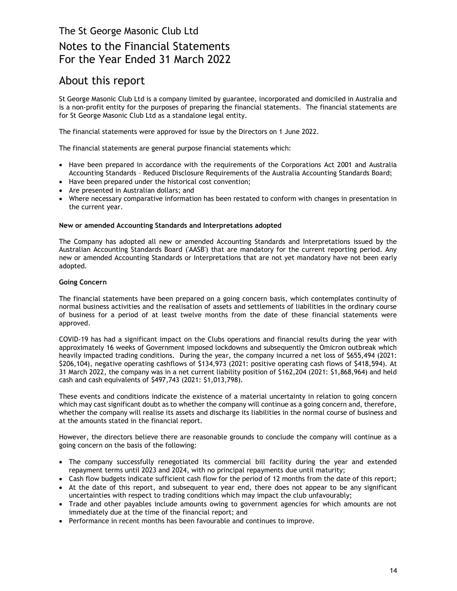# About this report

St George Masonic Club Ltd is a company limited by guarantee, incorporated and domiciled in Australia and is a non-profit entity for the purposes of preparing the financial statements. The financial statements are for St George Masonic Club Ltd as a standalone legal entity.

The financial statements were approved for issue by the Directors on 1 June 2022.

The financial statements are general purpose financial statements which:

- Have been prepared in accordance with the requirements of the Corporations Act 2001 and Australia Accounting Standards – Reduced Disclosure Requirements of the Australia Accounting Standards Board;
- Have been prepared under the historical cost convention;
- Are presented in Australian dollars; and
- Where necessary comparative information has been restated to conform with changes in presentation in the current year.

#### New or amended Accounting Standards and Interpretations adopted

The Company has adopted all new or amended Accounting Standards and Interpretations issued by the Australian Accounting Standards Board ('AASB') that are mandatory for the current reporting period. Any new or amended Accounting Standards or Interpretations that are not yet mandatory have not been early adopted.

#### Going Concern

The financial statements have been prepared on a going concern basis, which contemplates continuity of normal business activities and the realisation of assets and settlements of liabilities in the ordinary course of business for a period of at least twelve months from the date of these financial statements were approved.

COVID-19 has had a significant impact on the Clubs operations and financial results during the year with approximately 16 weeks of Government imposed lockdowns and subsequently the Omicron outbreak which heavily impacted trading conditions. During the year, the company incurred a net loss of \$655,494 (2021: \$206,104), negative operating cashflows of \$134,973 (2021: positive operating cash flows of \$418,594). At 31 March 2022, the company was in a net current liability position of \$162,204 (2021: \$1,868,964) and held cash and cash equivalents of \$497,743 (2021: \$1,013,798).

These events and conditions indicate the existence of a material uncertainty in relation to going concern which may cast significant doubt as to whether the company will continue as a going concern and, therefore, whether the company will realise its assets and discharge its liabilities in the normal course of business and at the amounts stated in the financial report.

However, the directors believe there are reasonable grounds to conclude the company will continue as a going concern on the basis of the following:

- The company successfully renegotiated its commercial bill facility during the year and extended repayment terms until 2023 and 2024, with no principal repayments due until maturity;
- Cash flow budgets indicate sufficient cash flow for the period of 12 months from the date of this report;
- At the date of this report, and subsequent to year end, there does not appear to be any significant uncertainties with respect to trading conditions which may impact the club unfavourably;
- Trade and other payables include amounts owing to government agencies for which amounts are not immediately due at the time of the financial report; and
- Performance in recent months has been favourable and continues to improve.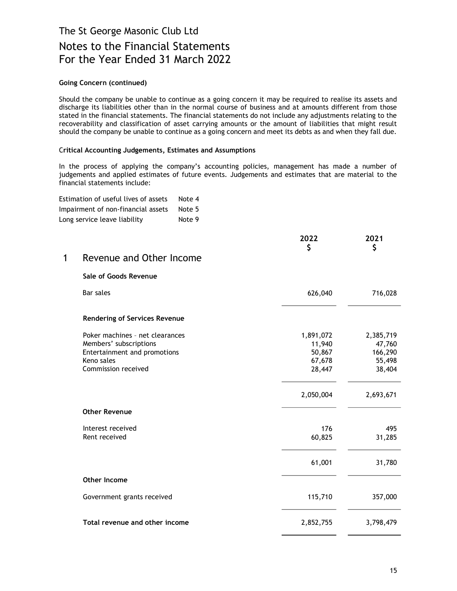### Going Concern (continued)

Should the company be unable to continue as a going concern it may be required to realise its assets and discharge its liabilities other than in the normal course of business and at amounts different from those stated in the financial statements. The financial statements do not include any adjustments relating to the recoverability and classification of asset carrying amounts or the amount of liabilities that might result should the company be unable to continue as a going concern and meet its debts as and when they fall due.

### Critical Accounting Judgements, Estimates and Assumptions

In the process of applying the company's accounting policies, management has made a number of judgements and applied estimates of future events. Judgements and estimates that are material to the financial statements include:

| Estimation of useful lives of assets | Note 4 |  |
|--------------------------------------|--------|--|
| Impairment of non-financial assets   | Note 5 |  |
| Long service leave liability         | Note 9 |  |

| 1 Revenue and Other Income |  |
|----------------------------|--|

## Sale of Goods Revenue

| Bar sales                                                                                                                      | 626,040                                           | 716,028                                            |
|--------------------------------------------------------------------------------------------------------------------------------|---------------------------------------------------|----------------------------------------------------|
| <b>Rendering of Services Revenue</b>                                                                                           |                                                   |                                                    |
| Poker machines - net clearances<br>Members' subscriptions<br>Entertainment and promotions<br>Keno sales<br>Commission received | 1,891,072<br>11,940<br>50,867<br>67,678<br>28,447 | 2,385,719<br>47,760<br>166,290<br>55,498<br>38,404 |
|                                                                                                                                | 2,050,004                                         | 2,693,671                                          |
| <b>Other Revenue</b>                                                                                                           |                                                   |                                                    |
| Interest received<br>Rent received                                                                                             | 176<br>60,825                                     | 495<br>31,285                                      |
|                                                                                                                                | 61,001                                            | 31,780                                             |
| Other Income                                                                                                                   |                                                   |                                                    |
| Government grants received                                                                                                     | 115,710                                           | 357,000                                            |
| Total revenue and other income                                                                                                 | 2,852,755                                         | 3,798,479                                          |

2022 2021 \$ \$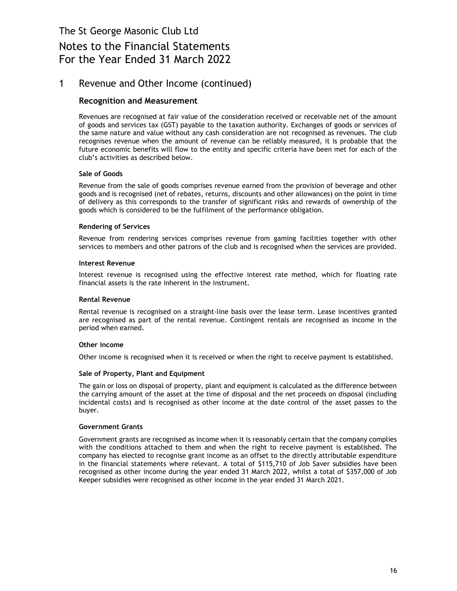# Notes to the Financial Statements For the Year Ended 31 March 2022

## 1 Revenue and Other Income (continued)

### Recognition and Measurement

Revenues are recognised at fair value of the consideration received or receivable net of the amount of goods and services tax (GST) payable to the taxation authority. Exchanges of goods or services of the same nature and value without any cash consideration are not recognised as revenues. The club recognises revenue when the amount of revenue can be reliably measured, it is probable that the future economic benefits will flow to the entity and specific criteria have been met for each of the club's activities as described below.

### Sale of Goods

Revenue from the sale of goods comprises revenue earned from the provision of beverage and other goods and is recognised (net of rebates, returns, discounts and other allowances) on the point in time of delivery as this corresponds to the transfer of significant risks and rewards of ownership of the goods which is considered to be the fulfilment of the performance obligation.

### Rendering of Services

Revenue from rendering services comprises revenue from gaming facilities together with other services to members and other patrons of the club and is recognised when the services are provided.

### Interest Revenue

Interest revenue is recognised using the effective interest rate method, which for floating rate financial assets is the rate inherent in the instrument.

#### Rental Revenue

Rental revenue is recognised on a straight-line basis over the lease term. Lease incentives granted are recognised as part of the rental revenue. Contingent rentals are recognised as income in the period when earned.

#### Other income

Other income is recognised when it is received or when the right to receive payment is established.

#### Sale of Property, Plant and Equipment

The gain or loss on disposal of property, plant and equipment is calculated as the difference between the carrying amount of the asset at the time of disposal and the net proceeds on disposal (including incidental costs) and is recognised as other income at the date control of the asset passes to the buyer.

#### Government Grants

Government grants are recognised as income when it is reasonably certain that the company complies with the conditions attached to them and when the right to receive payment is established. The company has elected to recognise grant income as an offset to the directly attributable expenditure in the financial statements where relevant. A total of \$115,710 of Job Saver subsidies have been recognised as other income during the year ended 31 March 2022, whilst a total of \$357,000 of Job Keeper subsidies were recognised as other income in the year ended 31 March 2021.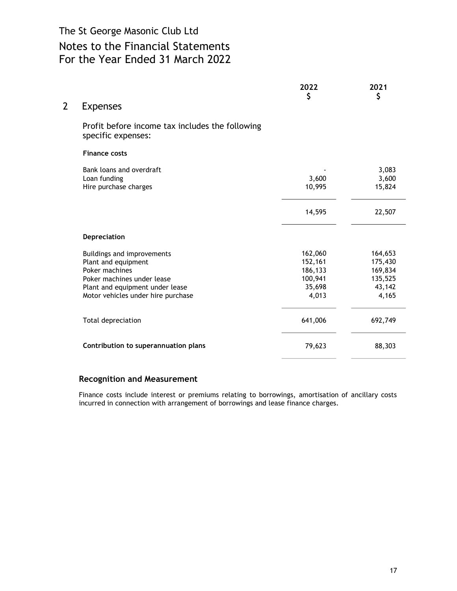|   |                                                                                                                                                                            | 2022<br>\$                                                  | 2021<br>\$                                                  |
|---|----------------------------------------------------------------------------------------------------------------------------------------------------------------------------|-------------------------------------------------------------|-------------------------------------------------------------|
| 2 | <b>Expenses</b>                                                                                                                                                            |                                                             |                                                             |
|   | Profit before income tax includes the following<br>specific expenses:                                                                                                      |                                                             |                                                             |
|   | <b>Finance costs</b>                                                                                                                                                       |                                                             |                                                             |
|   | Bank loans and overdraft<br>Loan funding<br>Hire purchase charges                                                                                                          | 3,600<br>10,995                                             | 3,083<br>3,600<br>15,824                                    |
|   |                                                                                                                                                                            | 14,595                                                      | 22,507                                                      |
|   | Depreciation                                                                                                                                                               |                                                             |                                                             |
|   | Buildings and improvements<br>Plant and equipment<br>Poker machines<br>Poker machines under lease<br>Plant and equipment under lease<br>Motor vehicles under hire purchase | 162,060<br>152,161<br>186,133<br>100,941<br>35,698<br>4,013 | 164,653<br>175,430<br>169,834<br>135,525<br>43,142<br>4,165 |
|   | Total depreciation                                                                                                                                                         | 641,006                                                     | 692,749                                                     |
|   | Contribution to superannuation plans                                                                                                                                       | 79,623                                                      | 88,303                                                      |
|   |                                                                                                                                                                            |                                                             |                                                             |

## Recognition and Measurement

Finance costs include interest or premiums relating to borrowings, amortisation of ancillary costs incurred in connection with arrangement of borrowings and lease finance charges.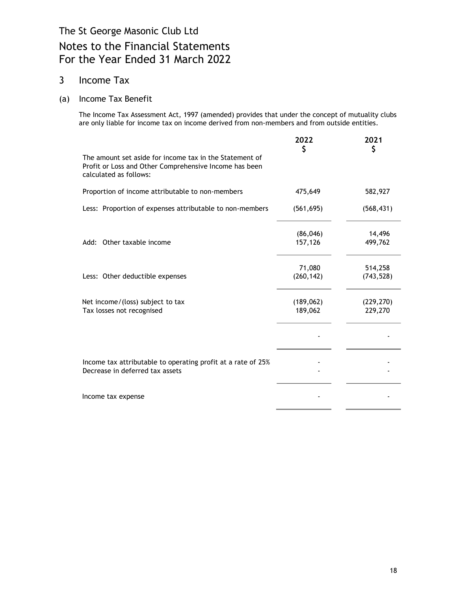## 3 Income Tax

## (a) Income Tax Benefit

The Income Tax Assessment Act, 1997 (amended) provides that under the concept of mutuality clubs are only liable for income tax on income derived from non-members and from outside entities.

|                                                                                                                                             | 2022<br>\$            | 2021<br>\$            |
|---------------------------------------------------------------------------------------------------------------------------------------------|-----------------------|-----------------------|
| The amount set aside for income tax in the Statement of<br>Profit or Loss and Other Comprehensive Income has been<br>calculated as follows: |                       |                       |
| Proportion of income attributable to non-members                                                                                            | 475,649               | 582,927               |
| Less: Proportion of expenses attributable to non-members                                                                                    | (561, 695)            | (568, 431)            |
| Add: Other taxable income                                                                                                                   | (86, 046)<br>157,126  | 14,496<br>499,762     |
| Less: Other deductible expenses                                                                                                             | 71,080<br>(260, 142)  | 514,258<br>(743, 528) |
| Net income/(loss) subject to tax<br>Tax losses not recognised                                                                               | (189, 062)<br>189,062 | (229, 270)<br>229,270 |
|                                                                                                                                             |                       |                       |
| Income tax attributable to operating profit at a rate of 25%<br>Decrease in deferred tax assets                                             |                       |                       |
| Income tax expense                                                                                                                          |                       |                       |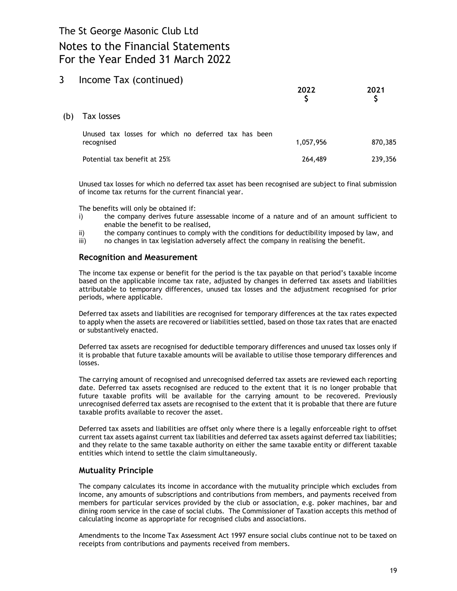# Notes to the Financial Statements For the Year Ended 31 March 2022

## 3 Income Tax (continued)

|     |                                                                    | 2022      | 2021<br>\$ |
|-----|--------------------------------------------------------------------|-----------|------------|
| (b) | Tax losses                                                         |           |            |
|     | Unused tax losses for which no deferred tax has been<br>recognised | 1,057,956 | 870,385    |
|     | Potential tax benefit at 25%                                       | 264,489   | 239,356    |

Unused tax losses for which no deferred tax asset has been recognised are subject to final submission of income tax returns for the current financial year.

The benefits will only be obtained if:

- i) the company derives future assessable income of a nature and of an amount sufficient to enable the benefit to be realised,
- ii) the company continues to comply with the conditions for deductibility imposed by law, and
- iii) no changes in tax legislation adversely affect the company in realising the benefit.

### Recognition and Measurement

The income tax expense or benefit for the period is the tax payable on that period's taxable income based on the applicable income tax rate, adjusted by changes in deferred tax assets and liabilities attributable to temporary differences, unused tax losses and the adjustment recognised for prior periods, where applicable.

Deferred tax assets and liabilities are recognised for temporary differences at the tax rates expected to apply when the assets are recovered or liabilities settled, based on those tax rates that are enacted or substantively enacted.

Deferred tax assets are recognised for deductible temporary differences and unused tax losses only if it is probable that future taxable amounts will be available to utilise those temporary differences and losses.

The carrying amount of recognised and unrecognised deferred tax assets are reviewed each reporting date. Deferred tax assets recognised are reduced to the extent that it is no longer probable that future taxable profits will be available for the carrying amount to be recovered. Previously unrecognised deferred tax assets are recognised to the extent that it is probable that there are future taxable profits available to recover the asset.

Deferred tax assets and liabilities are offset only where there is a legally enforceable right to offset current tax assets against current tax liabilities and deferred tax assets against deferred tax liabilities; and they relate to the same taxable authority on either the same taxable entity or different taxable entities which intend to settle the claim simultaneously.

### Mutuality Principle

The company calculates its income in accordance with the mutuality principle which excludes from income, any amounts of subscriptions and contributions from members, and payments received from members for particular services provided by the club or association, e.g. poker machines, bar and dining room service in the case of social clubs. The Commissioner of Taxation accepts this method of calculating income as appropriate for recognised clubs and associations.

Amendments to the Income Tax Assessment Act 1997 ensure social clubs continue not to be taxed on receipts from contributions and payments received from members.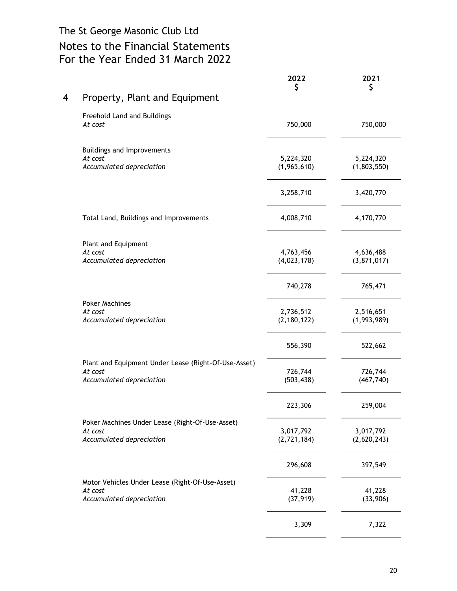# Notes to the Financial Statements For the Year Ended 31 March 2022

|                                                                 | 2022<br>\$               | 2021<br>\$               |
|-----------------------------------------------------------------|--------------------------|--------------------------|
| Property, Plant and Equipment                                   |                          |                          |
| Freehold Land and Buildings<br>At cost                          | 750,000                  | 750,000                  |
| Buildings and Improvements                                      |                          |                          |
| At cost<br>Accumulated depreciation                             | 5,224,320<br>(1,965,610) | 5,224,320<br>(1,803,550) |
|                                                                 | 3,258,710                | 3,420,770                |
| Total Land, Buildings and Improvements                          | 4,008,710                | 4,170,770                |
| Plant and Equipment                                             |                          |                          |
| At cost<br>Accumulated depreciation                             | 4,763,456<br>(4,023,178) | 4,636,488<br>(3,871,017) |
|                                                                 | 740,278                  | 765,471                  |
| <b>Poker Machines</b><br>At cost                                | 2,736,512                | 2,516,651                |
| Accumulated depreciation                                        | (2, 180, 122)            | (1,993,989)              |
|                                                                 | 556,390                  | 522,662                  |
| Plant and Equipment Under Lease (Right-Of-Use-Asset)<br>At cost | 726,744                  | 726,744                  |
| Accumulated depreciation                                        | (503, 438)               | (467, 740)               |
|                                                                 | 223,306                  | 259,004                  |
| Poker Machines Under Lease (Right-Of-Use-Asset)                 |                          |                          |
| At cost<br>Accumulated depreciation                             | 3,017,792<br>(2,721,184) | 3,017,792<br>(2,620,243) |
|                                                                 | 296,608                  | 397,549                  |
| Motor Vehicles Under Lease (Right-Of-Use-Asset)<br>At cost      | 41,228                   | 41,228                   |
| Accumulated depreciation                                        | (37, 919)                | (33,906)                 |
|                                                                 | 3,309                    | 7,322                    |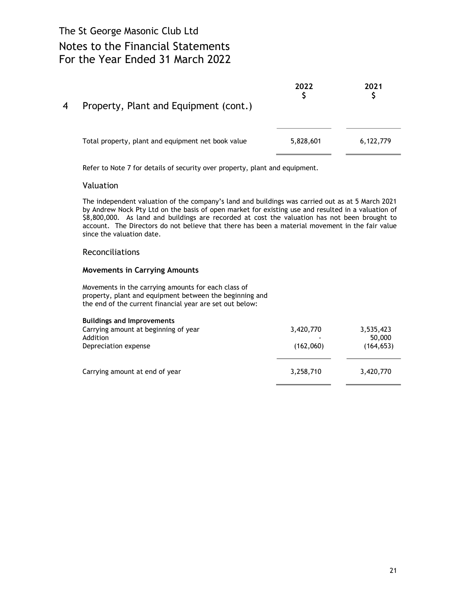| 4 | Property, Plant and Equipment (cont.)              | 2022      | 2021      |
|---|----------------------------------------------------|-----------|-----------|
|   | Total property, plant and equipment net book value | 5,828,601 | 6,122,779 |

Refer to Note 7 for details of security over property, plant and equipment.

### Valuation

The independent valuation of the company's land and buildings was carried out as at 5 March 2021 by Andrew Nock Pty Ltd on the basis of open market for existing use and resulted in a valuation of \$8,800,000. As land and buildings are recorded at cost the valuation has not been brought to account. The Directors do not believe that there has been a material movement in the fair value since the valuation date.

### Reconciliations

### Movements in Carrying Amounts

Movements in the carrying amounts for each class of property, plant and equipment between the beginning and the end of the current financial year are set out below:

| <b>Buildings and Improvements</b><br>Carrying amount at beginning of year<br>Addition<br>Depreciation expense | 3,420,770<br>(162,060) | 3,535,423<br>50,000<br>(164, 653) |  |
|---------------------------------------------------------------------------------------------------------------|------------------------|-----------------------------------|--|
| Carrying amount at end of year                                                                                | 3,258,710              | 3,420,770                         |  |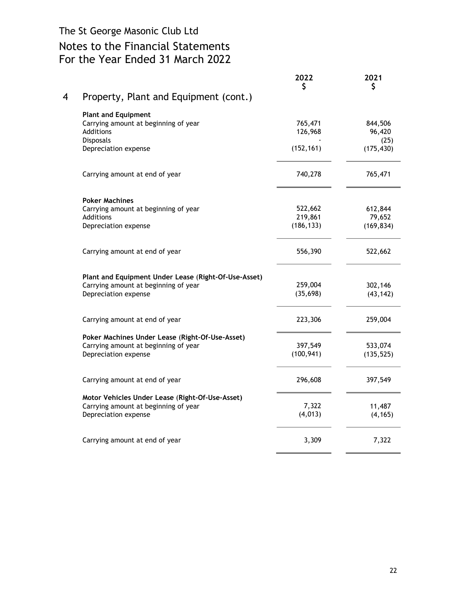# Notes to the Financial Statements For the Year Ended 31 March 2022

|   |                                                      | 2022<br>\$ | 2021<br>\$     |
|---|------------------------------------------------------|------------|----------------|
| 4 | Property, Plant and Equipment (cont.)                |            |                |
|   | <b>Plant and Equipment</b>                           |            |                |
|   | Carrying amount at beginning of year                 | 765,471    | 844,506        |
|   | <b>Additions</b><br>Disposals                        | 126,968    | 96,420<br>(25) |
|   | Depreciation expense                                 | (152, 161) | (175, 430)     |
|   | Carrying amount at end of year                       | 740,278    | 765,471        |
|   | <b>Poker Machines</b>                                |            |                |
|   | Carrying amount at beginning of year                 | 522,662    | 612,844        |
|   | Additions                                            | 219,861    | 79,652         |
|   | Depreciation expense                                 | (186, 133) | (169, 834)     |
|   | Carrying amount at end of year                       | 556,390    | 522,662        |
|   | Plant and Equipment Under Lease (Right-Of-Use-Asset) |            |                |
|   | Carrying amount at beginning of year                 | 259,004    | 302,146        |
|   | Depreciation expense                                 | (35, 698)  | (43, 142)      |
|   | Carrying amount at end of year                       | 223,306    | 259,004        |
|   | Poker Machines Under Lease (Right-Of-Use-Asset)      |            |                |
|   | Carrying amount at beginning of year                 | 397,549    | 533,074        |
|   | Depreciation expense                                 | (100, 941) | (135, 525)     |
|   | Carrying amount at end of year                       | 296,608    | 397,549        |
|   | Motor Vehicles Under Lease (Right-Of-Use-Asset)      |            |                |
|   | Carrying amount at beginning of year                 | 7,322      | 11,487         |
|   | Depreciation expense                                 | (4, 013)   | (4, 165)       |
|   | Carrying amount at end of year                       | 3,309      | 7,322          |
|   |                                                      |            |                |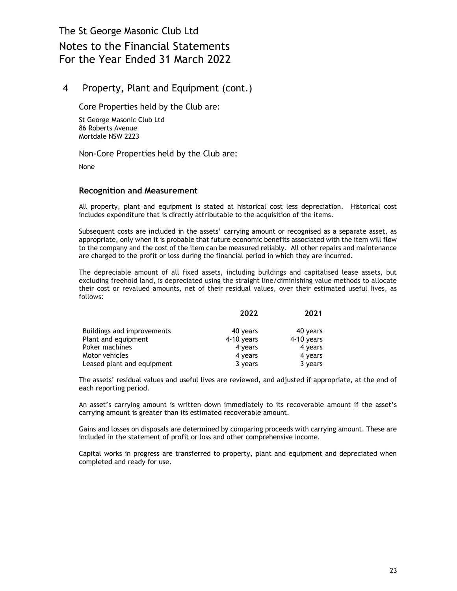## 4 Property, Plant and Equipment (cont.)

Core Properties held by the Club are:

St George Masonic Club Ltd 86 Roberts Avenue Mortdale NSW 2223

Non-Core Properties held by the Club are:

None

### Recognition and Measurement

All property, plant and equipment is stated at historical cost less depreciation. Historical cost includes expenditure that is directly attributable to the acquisition of the items.

Subsequent costs are included in the assets' carrying amount or recognised as a separate asset, as appropriate, only when it is probable that future economic benefits associated with the item will flow to the company and the cost of the item can be measured reliably. All other repairs and maintenance are charged to the profit or loss during the financial period in which they are incurred.

The depreciable amount of all fixed assets, including buildings and capitalised lease assets, but excluding freehold land, is depreciated using the straight line/diminishing value methods to allocate their cost or revalued amounts, net of their residual values, over their estimated useful lives, as follows:

|                            | 2022         | 2021         |
|----------------------------|--------------|--------------|
| Buildings and improvements | 40 years     | 40 years     |
| Plant and equipment        | $4-10$ years | $4-10$ years |
| Poker machines             | 4 years      | 4 years      |
| Motor vehicles             | 4 years      | 4 years      |
| Leased plant and equipment | 3 years      | 3 years      |

The assets' residual values and useful lives are reviewed, and adjusted if appropriate, at the end of each reporting period.

An asset's carrying amount is written down immediately to its recoverable amount if the asset's carrying amount is greater than its estimated recoverable amount.

Gains and losses on disposals are determined by comparing proceeds with carrying amount. These are included in the statement of profit or loss and other comprehensive income.

Capital works in progress are transferred to property, plant and equipment and depreciated when completed and ready for use.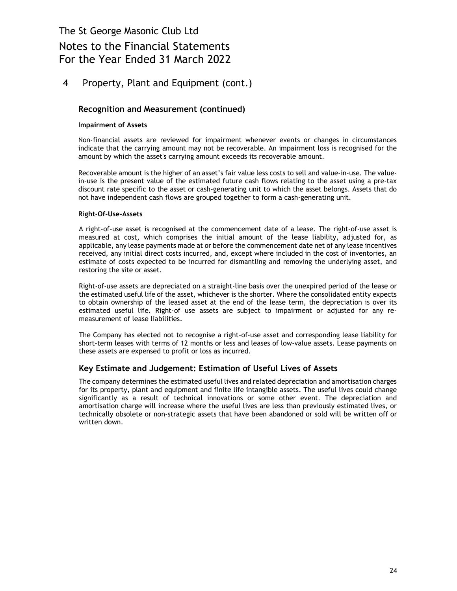# Notes to the Financial Statements For the Year Ended 31 March 2022

## 4 Property, Plant and Equipment (cont.)

## Recognition and Measurement (continued)

### Impairment of Assets

Non-financial assets are reviewed for impairment whenever events or changes in circumstances indicate that the carrying amount may not be recoverable. An impairment loss is recognised for the amount by which the asset's carrying amount exceeds its recoverable amount.

Recoverable amount is the higher of an asset's fair value less costs to sell and value-in-use. The valuein-use is the present value of the estimated future cash flows relating to the asset using a pre-tax discount rate specific to the asset or cash-generating unit to which the asset belongs. Assets that do not have independent cash flows are grouped together to form a cash-generating unit.

#### Right-Of-Use-Assets

A right-of-use asset is recognised at the commencement date of a lease. The right-of-use asset is measured at cost, which comprises the initial amount of the lease liability, adjusted for, as applicable, any lease payments made at or before the commencement date net of any lease incentives received, any initial direct costs incurred, and, except where included in the cost of inventories, an estimate of costs expected to be incurred for dismantling and removing the underlying asset, and restoring the site or asset.

Right-of-use assets are depreciated on a straight-line basis over the unexpired period of the lease or the estimated useful life of the asset, whichever is the shorter. Where the consolidated entity expects to obtain ownership of the leased asset at the end of the lease term, the depreciation is over its estimated useful life. Right-of use assets are subject to impairment or adjusted for any remeasurement of lease liabilities.

The Company has elected not to recognise a right-of-use asset and corresponding lease liability for short-term leases with terms of 12 months or less and leases of low-value assets. Lease payments on these assets are expensed to profit or loss as incurred.

## Key Estimate and Judgement: Estimation of Useful Lives of Assets

The company determines the estimated useful lives and related depreciation and amortisation charges for its property, plant and equipment and finite life intangible assets. The useful lives could change significantly as a result of technical innovations or some other event. The depreciation and amortisation charge will increase where the useful lives are less than previously estimated lives, or technically obsolete or non-strategic assets that have been abandoned or sold will be written off or written down.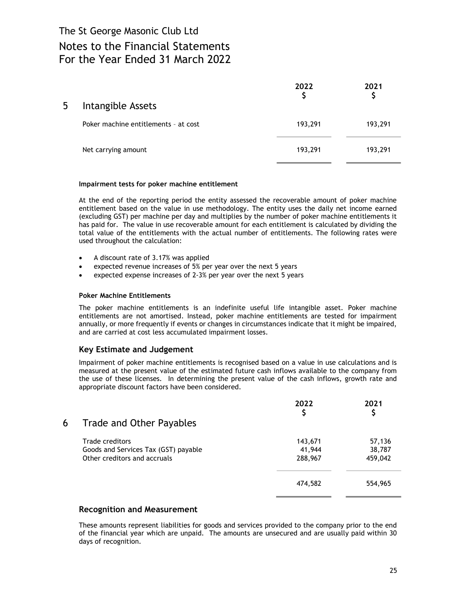| 5 | Intangible Assets                    | 2022    | 2021    |
|---|--------------------------------------|---------|---------|
|   | Poker machine entitlements - at cost | 193,291 | 193,291 |
|   | Net carrying amount                  | 193,291 | 193,291 |

#### Impairment tests for poker machine entitlement

At the end of the reporting period the entity assessed the recoverable amount of poker machine entitlement based on the value in use methodology. The entity uses the daily net income earned (excluding GST) per machine per day and multiplies by the number of poker machine entitlements it has paid for. The value in use recoverable amount for each entitlement is calculated by dividing the total value of the entitlements with the actual number of entitlements. The following rates were used throughout the calculation:

- A discount rate of 3.17% was applied
- expected revenue increases of 5% per year over the next 5 years
- expected expense increases of 2-3% per year over the next 5 years

#### Poker Machine Entitlements

The poker machine entitlements is an indefinite useful life intangible asset. Poker machine entitlements are not amortised. Instead, poker machine entitlements are tested for impairment annually, or more frequently if events or changes in circumstances indicate that it might be impaired, and are carried at cost less accumulated impairment losses.

### Key Estimate and Judgement

Impairment of poker machine entitlements is recognised based on a value in use calculations and is measured at the present value of the estimated future cash inflows available to the company from the use of these licenses. In determining the present value of the cash inflows, growth rate and appropriate discount factors have been considered.

| 6 | Trade and Other Payables                                                                | 2022                         | 2021                        |
|---|-----------------------------------------------------------------------------------------|------------------------------|-----------------------------|
|   | Trade creditors<br>Goods and Services Tax (GST) payable<br>Other creditors and accruals | 143,671<br>41,944<br>288,967 | 57,136<br>38,787<br>459,042 |
|   |                                                                                         | 474,582                      | 554,965                     |

### Recognition and Measurement

These amounts represent liabilities for goods and services provided to the company prior to the end of the financial year which are unpaid. The amounts are unsecured and are usually paid within 30 days of recognition.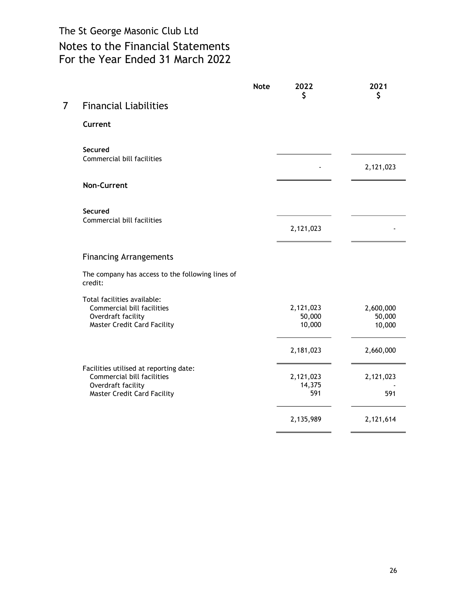|                |                                                             | <b>Note</b> | 2022<br>\$          | 2021<br>\$          |
|----------------|-------------------------------------------------------------|-------------|---------------------|---------------------|
| $\overline{7}$ | <b>Financial Liabilities</b>                                |             |                     |                     |
|                | Current                                                     |             |                     |                     |
|                | Secured<br>Commercial bill facilities                       |             |                     |                     |
|                |                                                             |             |                     | 2,121,023           |
|                | <b>Non-Current</b>                                          |             |                     |                     |
|                | Secured<br>Commercial bill facilities                       |             |                     |                     |
|                |                                                             |             | 2,121,023           |                     |
|                | <b>Financing Arrangements</b>                               |             |                     |                     |
|                | The company has access to the following lines of<br>credit: |             |                     |                     |
|                | Total facilities available:                                 |             |                     |                     |
|                | Commercial bill facilities<br>Overdraft facility            |             | 2,121,023<br>50,000 | 2,600,000<br>50,000 |
|                | <b>Master Credit Card Facility</b>                          |             | 10,000              | 10,000              |
|                |                                                             |             | 2,181,023           | 2,660,000           |
|                | Facilities utilised at reporting date:                      |             |                     |                     |
|                | Commercial bill facilities                                  |             | 2,121,023           | 2,121,023           |
|                | Overdraft facility                                          |             | 14,375<br>591       |                     |
|                | <b>Master Credit Card Facility</b>                          |             |                     | 591                 |
|                |                                                             |             | 2,135,989           | 2,121,614           |
|                |                                                             |             |                     |                     |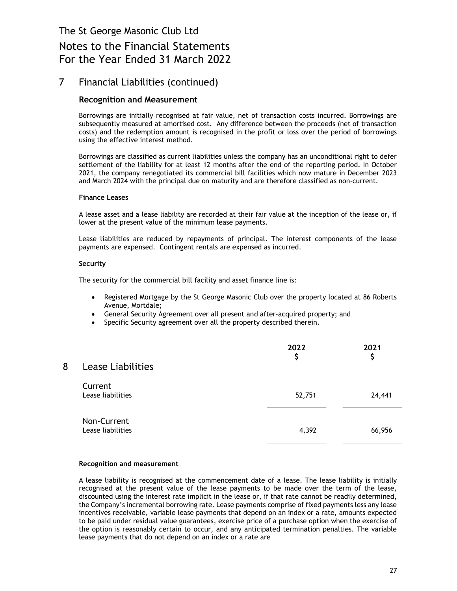# Notes to the Financial Statements For the Year Ended 31 March 2022

## 7 Financial Liabilities (continued)

### Recognition and Measurement

Borrowings are initially recognised at fair value, net of transaction costs incurred. Borrowings are subsequently measured at amortised cost. Any difference between the proceeds (net of transaction costs) and the redemption amount is recognised in the profit or loss over the period of borrowings using the effective interest method.

Borrowings are classified as current liabilities unless the company has an unconditional right to defer settlement of the liability for at least 12 months after the end of the reporting period. In October 2021, the company renegotiated its commercial bill facilities which now mature in December 2023 and March 2024 with the principal due on maturity and are therefore classified as non-current.

#### Finance Leases

A lease asset and a lease liability are recorded at their fair value at the inception of the lease or, if lower at the present value of the minimum lease payments.

Lease liabilities are reduced by repayments of principal. The interest components of the lease payments are expensed. Contingent rentals are expensed as incurred.

#### Security

The security for the commercial bill facility and asset finance line is:

- Registered Mortgage by the St George Masonic Club over the property located at 86 Roberts Avenue, Mortdale;
- General Security Agreement over all present and after-acquired property; and
- Specific Security agreement over all the property described therein.

| 8 | <b>Lease Liabilities</b>         | 2022<br>\$ | 2021<br>\$ |
|---|----------------------------------|------------|------------|
|   | Current<br>Lease liabilities     | 52,751     | 24,441     |
|   | Non-Current<br>Lease liabilities | 4,392      | 66,956     |

#### Recognition and measurement

A lease liability is recognised at the commencement date of a lease. The lease liability is initially recognised at the present value of the lease payments to be made over the term of the lease, discounted using the interest rate implicit in the lease or, if that rate cannot be readily determined, the Company's incremental borrowing rate. Lease payments comprise of fixed payments less any lease incentives receivable, variable lease payments that depend on an index or a rate, amounts expected to be paid under residual value guarantees, exercise price of a purchase option when the exercise of the option is reasonably certain to occur, and any anticipated termination penalties. The variable lease payments that do not depend on an index or a rate are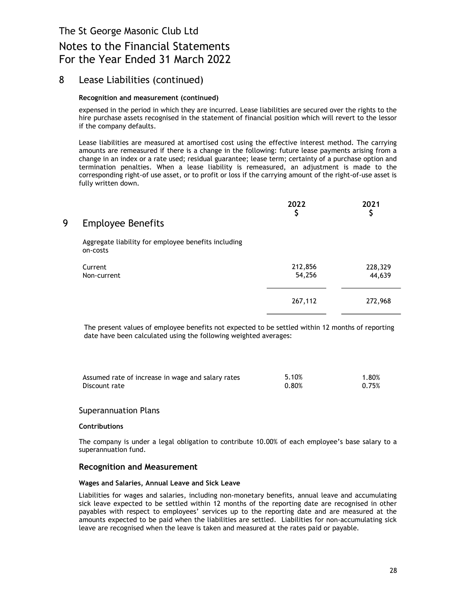# Notes to the Financial Statements For the Year Ended 31 March 2022

## 8 Lease Liabilities (continued)

### Recognition and measurement (continued)

expensed in the period in which they are incurred. Lease liabilities are secured over the rights to the hire purchase assets recognised in the statement of financial position which will revert to the lessor if the company defaults.

Lease liabilities are measured at amortised cost using the effective interest method. The carrying amounts are remeasured if there is a change in the following: future lease payments arising from a change in an index or a rate used; residual guarantee; lease term; certainty of a purchase option and termination penalties. When a lease liability is remeasured, an adjustment is made to the corresponding right-of use asset, or to profit or loss if the carrying amount of the right-of-use asset is fully written down.

| 9 | <b>Employee Benefits</b>                                        | 2022<br>\$        | 2021              |
|---|-----------------------------------------------------------------|-------------------|-------------------|
|   | Aggregate liability for employee benefits including<br>on-costs |                   |                   |
|   | Current<br>Non-current                                          | 212,856<br>54,256 | 228,329<br>44,639 |
|   |                                                                 | 267,112           | 272,968           |

The present values of employee benefits not expected to be settled within 12 months of reporting date have been calculated using the following weighted averages:

| Assumed rate of increase in wage and salary rates | 5.10% | 1.80% |
|---------------------------------------------------|-------|-------|
| Discount rate                                     | 0.80% | 0.75% |

### Superannuation Plans

#### **Contributions**

The company is under a legal obligation to contribute 10.00% of each employee's base salary to a superannuation fund.

#### Recognition and Measurement

#### Wages and Salaries, Annual Leave and Sick Leave

Liabilities for wages and salaries, including non-monetary benefits, annual leave and accumulating sick leave expected to be settled within 12 months of the reporting date are recognised in other payables with respect to employees' services up to the reporting date and are measured at the amounts expected to be paid when the liabilities are settled. Liabilities for non-accumulating sick leave are recognised when the leave is taken and measured at the rates paid or payable.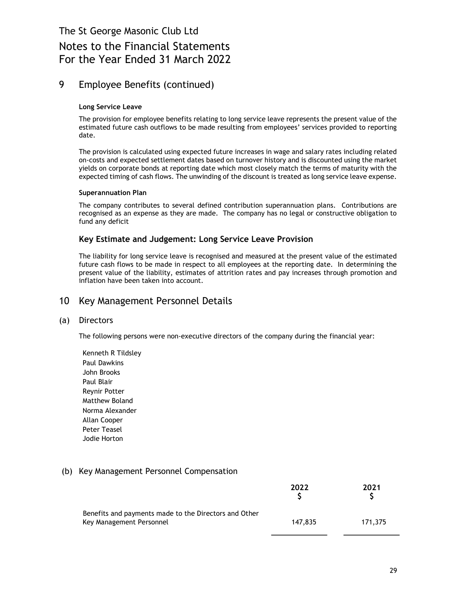# Notes to the Financial Statements For the Year Ended 31 March 2022

## 9 Employee Benefits (continued)

### Long Service Leave

The provision for employee benefits relating to long service leave represents the present value of the estimated future cash outflows to be made resulting from employees' services provided to reporting date.

The provision is calculated using expected future increases in wage and salary rates including related on-costs and expected settlement dates based on turnover history and is discounted using the market yields on corporate bonds at reporting date which most closely match the terms of maturity with the expected timing of cash flows. The unwinding of the discount is treated as long service leave expense.

### Superannuation Plan

The company contributes to several defined contribution superannuation plans. Contributions are recognised as an expense as they are made. The company has no legal or constructive obligation to fund any deficit

## Key Estimate and Judgement: Long Service Leave Provision

The liability for long service leave is recognised and measured at the present value of the estimated future cash flows to be made in respect to all employees at the reporting date. In determining the present value of the liability, estimates of attrition rates and pay increases through promotion and inflation have been taken into account.

## 10 Key Management Personnel Details

### (a) Directors

The following persons were non-executive directors of the company during the financial year:

Kenneth R Tildsley Paul Dawkins John Brooks Paul Blair Reynir Potter Matthew Boland Norma Alexander Allan Cooper Peter Teasel Jodie Horton

## (b) Key Management Personnel Compensation

|                                                                                   | 2022    | 2021    |
|-----------------------------------------------------------------------------------|---------|---------|
| Benefits and payments made to the Directors and Other<br>Key Management Personnel | 147.835 | 171.375 |